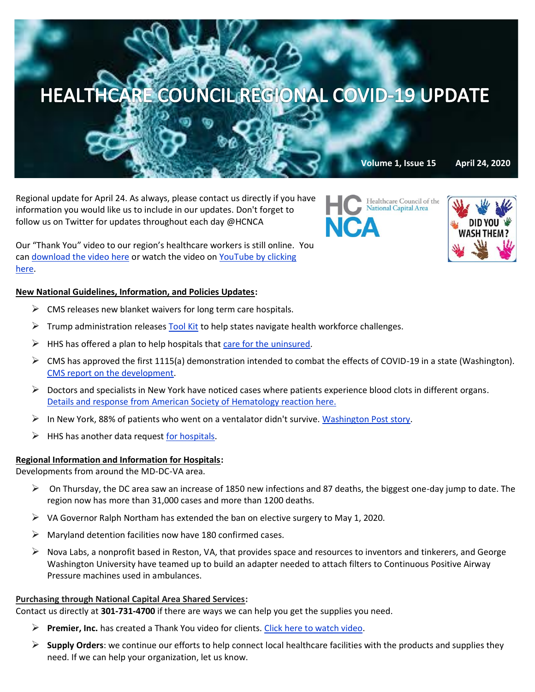

Regional update for April 24. As always, please contact us directly if you have information you would like us to include in our updates. Don't forget to follow us on Twitter for updates throughout each day @HCNCA

Our "Thank You" video to our region's healthcare workers is still online. You can [download the video here](https://we.tl/t-0B45ap5TRt#_blank) or watch the video on [YouTube by clicking](https://www.youtube.com/watch?v=HBYUCBxwV4E&feature=youtu.be)  [here.](https://www.youtube.com/watch?v=HBYUCBxwV4E&feature=youtu.be)

# **New National Guidelines, Information, and Policies Updates:**

- $\triangleright$  CMS releases new blanket waivers for [long term care hospitals.](https://www.cms.gov/files/document/summary-covid-19-emergency-declaration-waivers.pdf)
- $\triangleright$  Trump administration [releases Tool Kit](https://asprtracie.hhs.gov/Workforce-Virtual-Toolkit) to help states navigate health workforce challenges.
- $\triangleright$  HHS has offered a plan to help hospitals that [care for the uninsured.](https://apnews.com/2e42dbf0e5b52b144873417553a3c66b?mkt_tok=eyJpIjoiT0RNNE9XWTBaVEkyTURRMiIsInQiOiJ4S2lsNWg2U3RlN0c4SWJ3YVFibmF0ZHVsU1A2WVhOR09CNnN4YXowSmRLZ2xoZDF1RmVBNFV0bGh4MXhjbVR6QUJ3NFM4XC9Ca3BCcFZXS1BuM21iZmVnejhTT0NIVTRvSHdadjZ4a3IyUXlweUxoanNuRjB1b2dKTW5wZUVaRUoifQ==)
- $\triangleright$  CMS has approved the first 1115(a) demonstration intended to combat the effects of COVID-19 in a state (Washington). [CMS report on the development.](https://content.govdelivery.com/accounts/USCMSMEDICAID/bulletins/287b3f2)
- $\triangleright$  Doctors and specialists in New York have noticed cases where patients experience blood clots in different organs. [Details and response from American Society of Hematology reaction here.](https://www.reuters.com/article/us-health-coronavirus-usa-blood/alarmed-as-covid-patients-blood-thickened-new-york-doctors-try-new-treatments-idUSKCN22421Z?mkt_tok=eyJpIjoiT0RNNE9XWTBaVEkyTURRMiIsInQiOiJ4S2lsNWg2U3RlN0c4SWJ3YVFibmF0ZHVsU1A2WVhOR09CNnN4YXowSmRLZ2xoZDF1RmVBNFV0bGh4MXhjbVR6QUJ3NFM4XC9Ca3BCcFZXS1BuM21iZmVnejhTT0NIVTRvSHdadjZ4a3IyUXlweUxoanNuRjB1b2dKTW5wZUVaRUoifQ==)
- $\triangleright$  In New York, 88% of patients who went on a ventalator didn't survive[. Washington Post story.](https://www.washingtonpost.com/health/2020/04/22/coronavirus-ventilators-survival/?mkt_tok=eyJpIjoiTVRkaU56azJPRGs1WmpkayIsInQiOiJYbFNZbGM4RGczRFZ0d2RZR0NDYmZjQmV3VEtvdkJTRnRFNGloc0FoVVN6N0Nnd2t0SmNjQlh6eE16TXBaYVBpTmRqN0JTZUdzSXJjSFozQXVhUVJxbk5TaGVYcU5iR1wvd1MwVEdGRjFIc1ZiUGlMdmNWVXFFbmZwbFdtYWRvd2MifQ==)
- $\triangleright$  HHS has another data request [for hospitals.](https://mail-attachment.googleusercontent.com/attachment/u/0/?ui=2&ik=9aef729a78&attid=0.1&permmsgid=msg-f:1664780201670757411&th=171a7cc5e5b04c23&view=att&disp=inline&saddbat=ANGjdJ8PaduFjtvMXdCmyoMsTFKGS_kxrvKBF83taS7077uqpDCJW54LmyuylxqaSyBQSCIBv8SNDOZ07cuz0VIKgvrRI9Oo6CSCn6kZrk28Amw5TnCQK_Jw4tQWtZx5FbUfvY14lJcoiBGxNuwTZxgR6SRWX0VhSGvjuzdEiwRWLZkUGDYPX3aDPkrekUYY-41Sg5lI7AzvgqkaG5wVr1kkc9gOQuaqZDJ6Jko1Lp_Alrbj2eX2vui82Yp9TRI6LhmbuDIO1R3sRPIdV14DsG9dG3aYYkk3rzdXiP7q--rvhGEHQ8tgf-en4EdYZaLm7F8rf35JNiXqA-MJUxgr2x7dWIzLHVh7Aqz7ES5VmN4FbZSfB0ksgUMiqx-lLlIEZWbiWd5GCiBuqVb0PnlX-DxPeOtSbkZH3fTginLJmCkPlctZja-m0-fRrQWVQ-OJo6G0uJ1IKLuLx4AeAvGRAoPmq9p4XZt1khNw38OrbLonYHmQbZYS-lyFdBd3XJef8yUAZwGrGi6cwTq8pdV4YsuHXnrogm4cPxm7JTUDfPmVCsSyMJi8kHq8iksNkXI2IwUykG2Jnj0cqYjd_HrQWpThGiQlMXkGqSs9BGCtkYBhmZnLQsuLacWbCEr5Sa_KqJP6IJlteDteoM2VpndHPB3nVixeeNu1syfVfhENkqZb7JpYwtpAc1MUYtFlkTQ)

## **Regional Information and Information for Hospitals:**

Developments from around the MD-DC-VA area.

- $\triangleright$  On Thursday, the DC area saw an increase of 1850 new infections and 87 deaths, the biggest one-day jump to date. The region now has more than 31,000 cases and more than 1200 deaths.
- $\triangleright$  VA Governor Ralph Northam has extended the ban on elective surgery to May 1, 2020.
- $\triangleright$  Maryland detention facilities now have 180 confirmed cases.
- $\triangleright$  Nova Labs, a nonprofit based in Reston, VA, that provides space and resources to inventors and tinkerers, and George Washington University have teamed up to build an adapter needed to attach filters to Continuous Positive Airway Pressure machines used in ambulances.

#### **Purchasing through National Capital Area Shared Services:**

Contact us directly at **301-731-4700** if there are ways we can help you get the supplies you need.

- ➢ **Premier, Inc.** has created a Thank You video for clients[. Click here to watch video.](https://www.premierinc.com/newsroom/covid-19/premier-says-thank-you)
- ➢ **Supply Orders**: we continue our efforts to help connect local healthcare facilities with the products and supplies they need. If we can help your organization, let us know.

Healthcare Council of the **National Capital Area** NC.